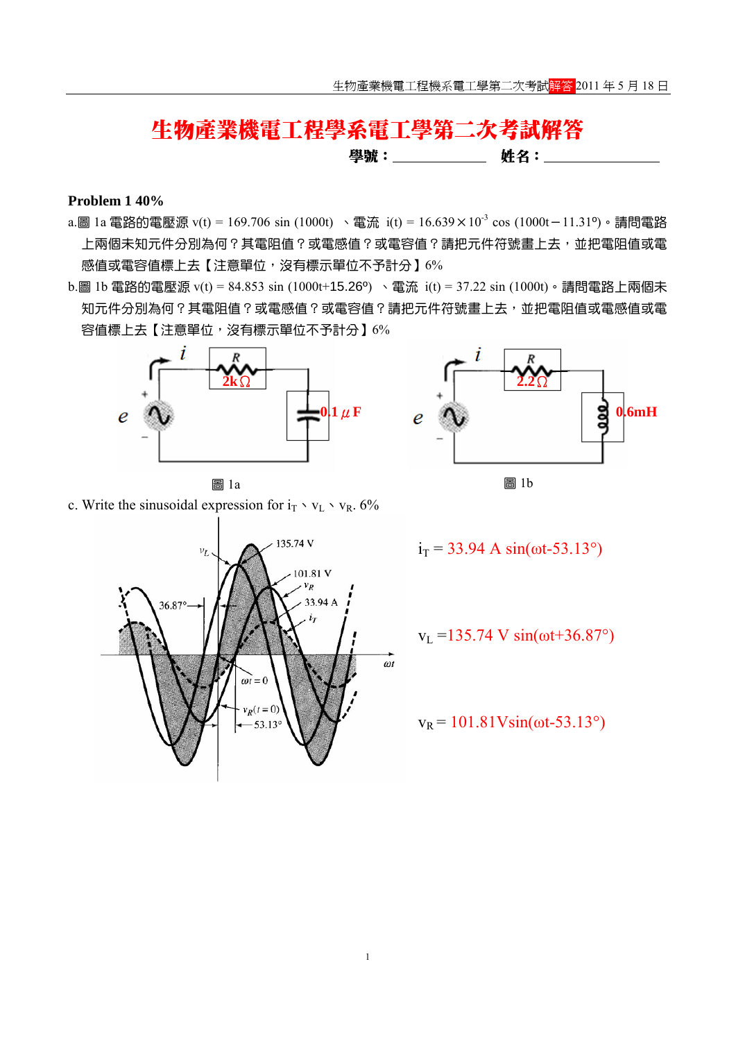# 生物產業機電工程學系電工學第二次考試解答

學號: 姓名:

#### **Problem 1 40%**

- a.圖 1a 電路的電壓源 v(t) = 169.706 sin (1000t) 、電流 i(t) = 16.639×10<sup>-3</sup> cos (1000t-11.31<sup>o</sup>)。請問電路 上兩個未知元件分別為何?其電阻值?或電感值?或電容值?請把元件符號書上去,並把電阻值或電 感值或電容值標上去【注意單位,沒有標示單位不予計分】6%
- b.圖 1b 電路的電壓源 v(t) = 84.853 sin (1000t+15.26º) 、電流 i(t) = 37.22 sin (1000t)。請問電路上兩個未 知元件分別為何?其電阻值?或電感值?或電容值?請把元件符號畫上去,並把電阻值或電感值或電 容值標上去【注意單位,沒有標示單位不予計分】6%



c. Write the sinusoidal expression for  $i_T \cdot v_L \cdot v_R$ . 6%





$$
i_T = 33.94
$$
 A  $sin(\omega t - 53.13^{\circ})$ 

$$
v_L = 135.74
$$
 V  $sin(\omega t + 36.87^\circ)$ 

 $v_R = 101.81$  Vsin(ωt-53.13°)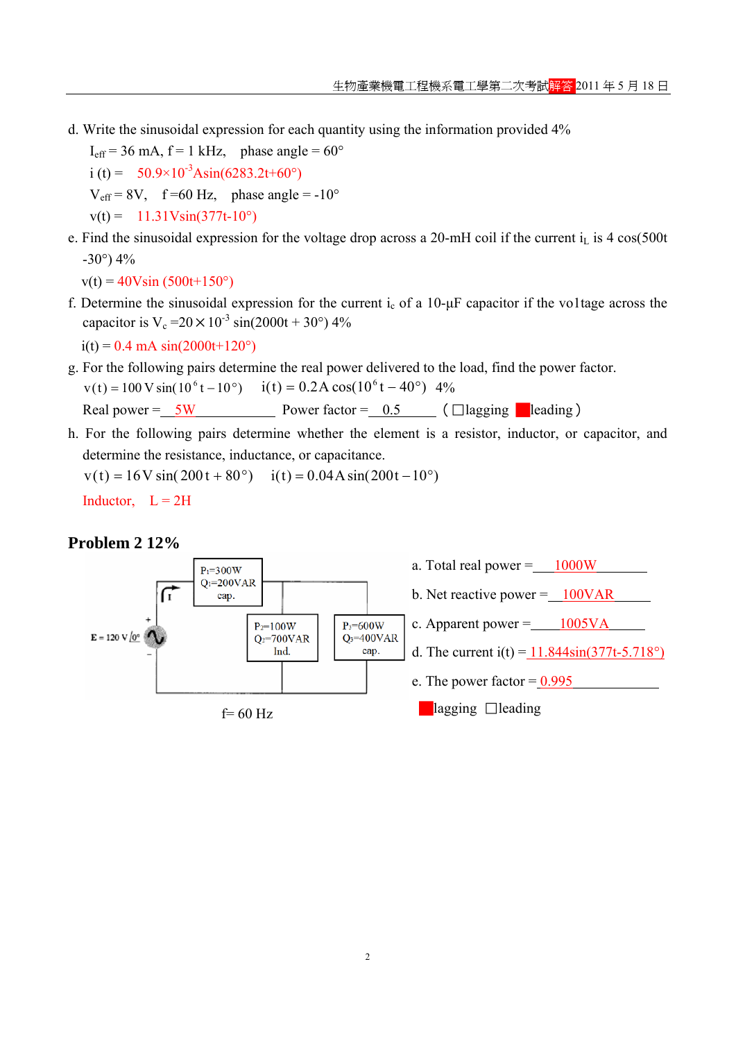d. Write the sinusoidal expression for each quantity using the information provided 4%

 $I_{\text{eff}}$  = 36 mA, f = 1 kHz, phase angle = 60 $^{\circ}$ i (t) =  $50.9 \times 10^{-3}$ Asin(6283.2t+60°)  $V_{\text{eff}} = 8V$ , f =60 Hz, phase angle = -10°  $v(t) = 11.31V\sin(377t-10^{\circ})$ 

e. Find the sinusoidal expression for the voltage drop across a 20-mH coil if the current  $i<sub>L</sub>$  is 4 cos(500t  $-30^{\circ}$ ) 4%

 $v(t) = 40V\sin(500t+150^{\circ})$ 

f. Determine the sinusoidal expression for the current  $i_c$  of a 10- $\mu$ F capacitor if the voltage across the capacitor is  $V_c = 20 \times 10^{-3} \sin(2000t + 30^{\circ})$  4%

 $i(t) = 0.4$  mA  $sin(2000t+120^{\circ})$ 

g. For the following pairs determine the real power delivered to the load, find the power factor.  $v(t) = 100 \text{ V} \sin(10^6 t - 10^{\circ})$   $i(t) = 0.2 \text{ A} \cos(10^6 t - 40^{\circ})$  4%

Real power =  $5W$  Power factor =  $0.5$  ( $\Box$ lagging eleading)

h. For the following pairs determine whether the element is a resistor, inductor, or capacitor, and determine the resistance, inductance, or capacitance.

 $v(t) = 16V \sin(200 t + 80^{\circ})$   $i(t) = 0.04A \sin(200 t - 10^{\circ})$ Inductor,  $L = 2H$ 

### **Problem 2 12%**

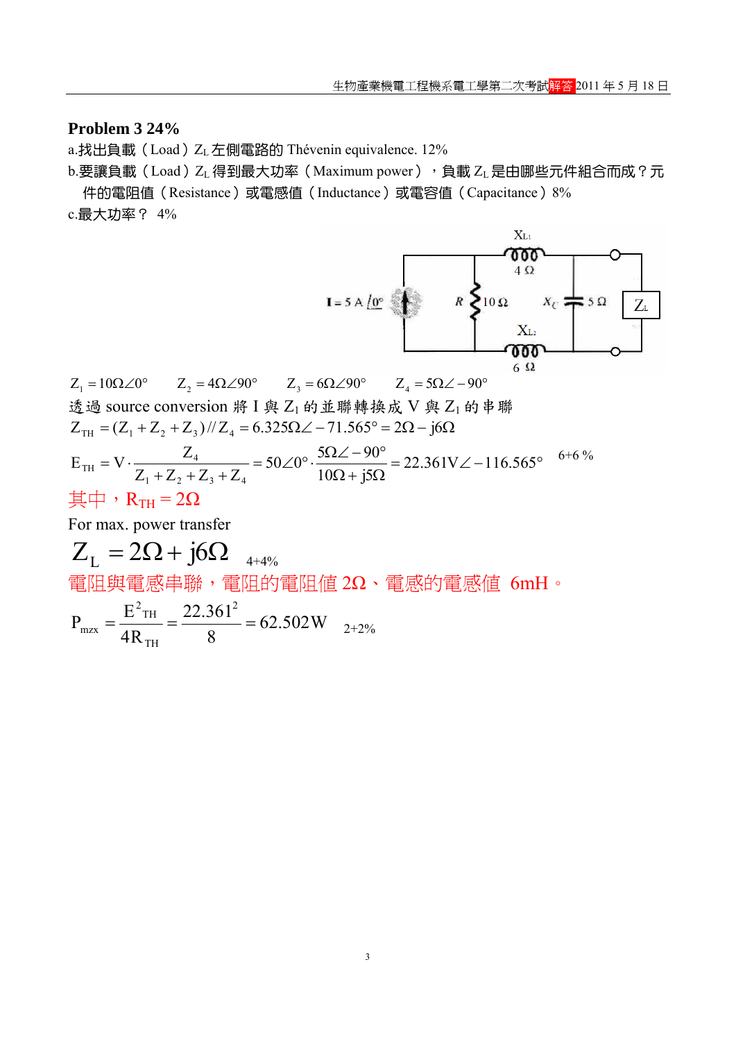## **Problem 3 24%**

a.找出負載 (Load) ZL 左側電路的 Thévenin equivalence. 12%

b.要讓負載(Load)ZL 得到最大功率 (Maximum power),包載 ZL 是由哪些元件組合而成?元 件的電阻值(Resistance)或電感值(Inductance)或電容值(Capacitance)8%

c.最大功率? 4%



 $Z_1 = 10\Omega \angle 0^{\circ}$   $Z_2 = 4\Omega \angle 90^{\circ}$   $Z_3 = 6\Omega \angle 90^{\circ}$   $Z_4 = 5\Omega \angle -90^{\circ}$ 透過 source conversion 將 I 與 Z<sub>1</sub> 的並聯轉換成 V 與 Z<sub>1</sub> 的串聯  $= V \cdot \frac{Z_4}{Z_1 + Z_2 + Z_3 + Z_4} = 50 \angle 0^\circ \cdot \frac{5\Omega \angle -90^\circ}{10\Omega + j5\Omega} = 22.361 V \angle -116.565^\circ$  $Z_{\text{TH}} = (Z_1 + Z_2 + Z_3)/Z_4 = 6.325 \Omega \angle -71.565^{\circ} = 2\Omega - j6\Omega$  $22.361V\angle -116.565$  $10\Omega + j5$  $50\angle 0^\circ \cdot \frac{5\Omega \angle -90}{100}$  $Z_1 + Z_2 + Z_3 + Z$  $E_{\text{TH}} = V \cdot \frac{Z}{Z}$  $1 + 2^2 + 2^3 + 2^4$ 4 TH 6+6 % 其中,  $R_{TH} = 2Ω$ For max. power transfer  $Z_{L} = 2\Omega + j6\Omega_{4+4\%}$ 電阻與電感串聯,電阻的電阻值 2Ω、電感的電感值 6mH。 62.502W 8 22.361 4R  $P_{\text{mrx}} = \frac{E^2 \text{TH}}{12} = \frac{22.361^2}{12}$ TH  $^{2}$ TH  $m_{\text{max}} = \frac{L_{\text{BH}}}{4R} = \frac{22.501}{8} = 62.502 \text{W}$   $_{2+2\%}$